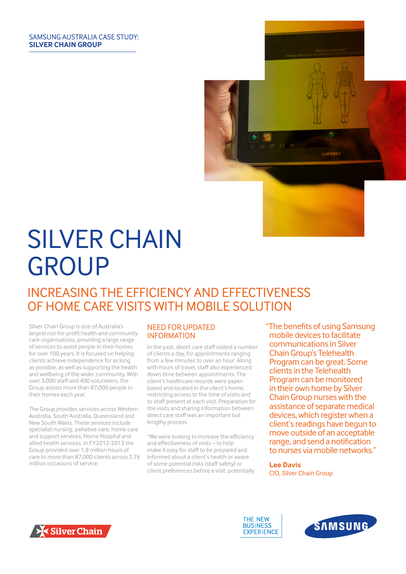#### SAMSUNG AUSTRALIA CASE STUDY: **SILVER CHAIN GROUP**



# SILVER CHAIN GROUP

## INCREASING THE EFFICIENCY AND EFFECTIVENESS OF HOME CARE VISITS WITH MOBILE SOLUTION

Silver Chain Group is one of Australia's largest not-for-profit health and community care organisations, providing a large range of services to assist people in their homes for over 100 years. It is focused on helping clients achieve independence for as long as possible, as well as supporting the health and wellbeing of the wider community. With over 3,000 staff and 400 volunteers, the Group assists more than 87,000 people in their homes each year.

The Group provides services across Western Australia, South Australia, Queensland and New South Wales. These services include specialist nursing, palliative care, home care and support services, Home Hospital and allied health services. In FY2012-2013 the Group provided over 1.8 million hours of care to more than 87,000 clients across 2.76 million occasions of service.

#### NEED FOR UPDATED INFORMATION

In the past, direct care staff visited a number of clients a day, for appointments ranging from a few minutes to over an hour. Along with hours of travel, staff also experienced down-time between appointments. The client's healthcare records were paperbased and located in the client's home, restricting access to the time of visits and to staff present at each visit. Preparation for the visits and sharing information between direct care staff was an important but lengthy process.

"We were looking to increase the efficiency and effectiveness of visits – to help make it easy for staff to be prepared and informed about a client's health or aware of some potential risks (staff safety) or client preferences before a visit, potentially "The benefits of using Samsung mobile devices to facilitate communications in Silver Chain Group's Telehealth Program can be great. Some clients in the Telehealth Program can be monitored in their own home by Silver Chain Group nurses with the assistance of separate medical devices, which register when a client's readings have begun to move outside of an acceptable range, and send a notification to nurses via mobile networks."

**Lee Davis**  CIO, Silver Chain Group